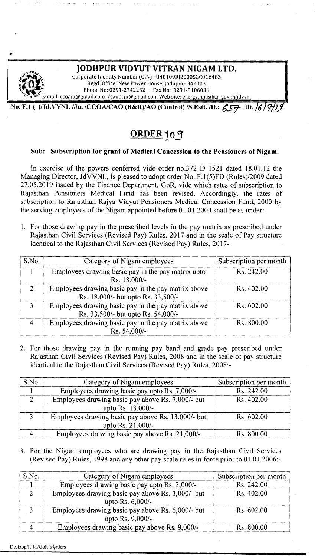

# ORDER 109

### Sub: Subscription for grant of Medical Concession to the Pensioners of Nigam.

In exercise of the powers conferred vide order no.372 D 1521 dated 18.01.12 the Managing Director, JdVVNL, is pleased to adopt order No. F.I(5)FD (Rules)/2009 dated 27.05.2019 issued by the Finance Department, GoR, vide which rates of subscription to Rajasthan Pensioners Medical Fund has been revised. Accordingly, the rates of subscription to Rajasthan Rajya Vidyut Pensioners Medical Concession Fund, 2000 by the serving employees of the Nigam appointed before 01.01.2004 shall be as under:-

1. For those drawing pay in the prescribed levels in the pay matrix as prescribed under Rajasthan Civil Services (Revised Pay) Rules, 2017 and in the scale of Pay structure identical to the Rajasthan Civil Services (Revised Pay) Rules, 2017-

| S.No.         | Category of Nigam employees                                                               | Subscription per month |
|---------------|-------------------------------------------------------------------------------------------|------------------------|
|               | Employees drawing basic pay in the pay matrix upto<br>Rs. 18,000/-                        | Rs. 242.00             |
| $\mathcal{D}$ | Employees drawing basic pay in the pay matrix above<br>Rs. 18,000/- but upto Rs. 33,500/- | Rs. 402.00             |
| $\mathcal{R}$ | Employees drawing basic pay in the pay matrix above<br>Rs. 33,500/- but upto Rs. 54,000/- | Rs. 602.00             |
|               | Employees drawing basic pay in the pay matrix above<br>Rs. 54,000/-                       | Rs. 800.00             |

2. For those drawing pay in the running pay band and grade pay prescribed under Rajasthan Civil Services (Revised Pay) Rules, 2008 and in the scale of pay structure identical to the Rajasthan Civil Services (Revised Pay) Rules, 2008:-

| S.No. | Category of Nigam employees                        | Subscription per month |
|-------|----------------------------------------------------|------------------------|
|       | Employees drawing basic pay upto Rs. 7,000/-       | Rs. 242.00             |
|       | Employees drawing basic pay above Rs. 7,000/- but  | Rs. 402.00             |
|       | upto Rs. 13,000/-                                  |                        |
|       | Employees drawing basic pay above Rs. 13,000/- but | Rs. 602.00             |
|       | upto Rs. 21,000/-                                  |                        |
|       | Employees drawing basic pay above Rs. 21,000/-     | Rs. 800.00             |

3. For the Nigam employees who are drawing pay in the Rajasthan Civil Services (Revised Pay) Rules, 1998 and any other pay scale rules in force prior to 01.01.2006:-

| S.No. | Category of Nigam employees                       | Subscription per month |
|-------|---------------------------------------------------|------------------------|
|       | Employees drawing basic pay upto Rs. 3,000/-      | Rs. 242.00             |
|       | Employees drawing basic pay above Rs. 3,000/- but | Rs. 402.00             |
|       | upto Rs. 6,000/-                                  |                        |
|       | Employees drawing basic pay above Rs. 6,000/- but | Rs. 602.00             |
|       | upto Rs. 9,000/-                                  |                        |
|       | Employees drawing basic pay above Rs. 9,000/-     | Rs. 800.00             |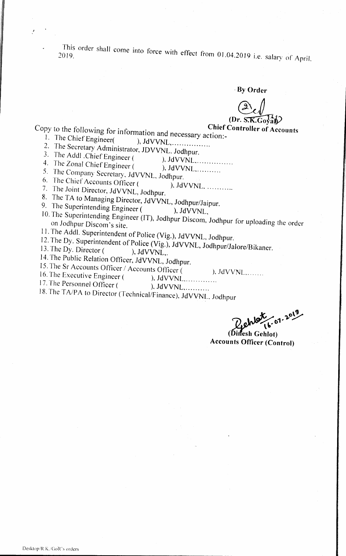This order shall come into force with effect from 01.04.2019 i.e. salary of April. 2019.

-By **Order**

# (Dr. S.K.Goyal)<br>Chief Controller of Accounts

- **Copy to the following for information and necessary action:-**<br><sup>1</sup>. The Chief Engineer( ) **INVVNI** 
	- $1.$  The Chief Engineer( ), JdVVNL,  $1.$
	- 2. The Secretary Administrator, JDVVNL. Jodhpur.
	- 3. The Addl .ChiefEngineer ( ), JdVVNL. .
	- 4. The Zonal Chief Engineer ( ), JdVVNL, ..........
	- *5.* The Company Secretary, JdVVNL, Jodhpur.

6. The Chief Accounts Officer ( ). JdVVNL, ..........

- 7. The Joint Director, JdVVNL, Jodhpur.
- 8. The TA to Managing Director, JdVVNL, Jodhpur/Jaipur.
- 9. The Superintending Engineer  $($ ,  $JdVVNL$ ,
- 10. The Superintending Engineer *(IT)*, Jodhpur Discom, Jodhnur for uploading the suiton Jodhpur Discom's site
- 11. The Addl. Superintendent of Police (Vig.), JdVVNL, Jodhpur.
- 12. The Dy. superintendent of Police (Vig.), JdVVNL, Jodhnur/Jalore/Bikan
- 13. The Dy. Director  $($ , JdVVNI
- 14. The Public Relation Officer, JdVVNL, Jodhpur.
- 15. The Sr Accounts Officer / Accounts Officer ( ), JdVVNL.......
- 16. The Executive Engineer ( ), JdVVNL. .
- 17. The Personnel Officer ( ), JdVVNL, ..........
- 18. The *TAlPA* to Director (Technical/Finance), JdVVNL. Jodhpur

 $1.2019$ 

fesh Gehlot) **Accounts Officer (Control)**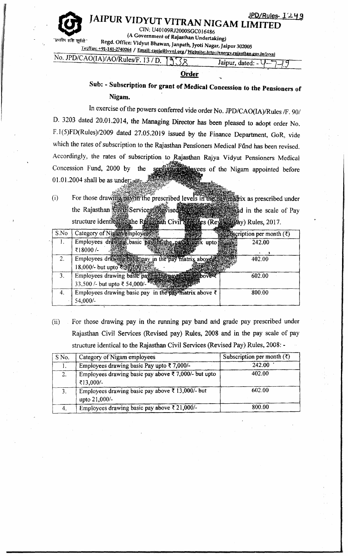@

JAIPUR VIDYUT VITRAN NIGAM LIMITED CIN: U40109RJ2000SGC016486

(A Government of Rajasthan Undertaking)

''प्रभारेम शशि सूर्ययो<br>Kegd. Office: Vidyut Bhawan, Janpath, Iyoti Nagar, Jaipur 302005

 $TeVFax: +91-141-2740264 / Email: caola@jvvn.org/Website: <http://energy.rajar than.gov.in/ivvn> No. JPD/CAOIA)/AODB: [http://energy.rajar than.gov.in/ivvn](http://c.011A1/AOD11a-75-12.15-12.15)$ </u>

| $\frac{1}{2}$ . If D/CAO(IA)/AO/Rules/F, 13 / D. | . |  | Jaipur, dated: | W 2. |  |
|--------------------------------------------------|---|--|----------------|------|--|
|                                                  |   |  |                |      |  |

### **Order**

Sub: - Subscription for grant of Medical Concession to the Pensioners of Nigam.

In exercise of the powers conferred vide order No. *JPD/CAO(IA)/Rules* /F. 90/ D. 3203 dated 20.01.2014, the Managing Director has been pleased to adopt order No. *F.I(5)FD(Rules)/2009* dated 27.05.2019 issued by the Finance Department, GoR, vide which the rates of subscription to the Rajasthan Pensioners Medical Fund has been revised. Accordingly, the rates of subscription to Rajasthan Rajya Vidyut Pensioners Medical Concession Fund. 2000 by the **of the Nigam appointed before** 01.01.2004 shall be as under:

(i) For those drawing payon the prescribed levels in the pay matrix as prescribed under the Rajasthan Givil Services (Revised Apple and **in the scale of Pay** structure identicalito the Railwah Civil" **Protect (Reynold Pay) Rules, 2017.** 

| S.No | 23 March 2004 12:15 13:15<br>Category of Nigamenployees<br>$\frac{1}{2}$ Silliscription per month ( $\zeta$ ) |
|------|---------------------------------------------------------------------------------------------------------------|
|      | Employees drawing basic pay<br>242.00<br>upto                                                                 |
|      | ₹18000/-                                                                                                      |
| 2.   | Employees drawing basic pay in the pay matrix above.<br>402.00                                                |
|      | 18,000/- but upto 333500 / 33                                                                                 |
| 3.   | Employees drawing basic pay in the pays main subover<br>602.00                                                |
|      | 33,500 /- but upto ₹ 54,000/-                                                                                 |
| 4.   | Employees drawing basic pay in the pay matrix above $\bar{\tau}$<br>800.00                                    |
|      | 54,000/-                                                                                                      |

(ii) For those drawing pay in the running pay band arid grade pay prescribed under Rajasthan Civil Services (Revised pay) Rules, 2008 and in the pay scale of pay structure identical to the Rajasthan Civil Services (Revised Pay) Rules, 2008: -

| S No. | Category of Nigam employees                                                      | Subscription per month $(\bar{z})$ |
|-------|----------------------------------------------------------------------------------|------------------------------------|
|       | Employees drawing basic Pay upto $\bar{\zeta}$ 7,000/-                           | $-242.00$                          |
|       | Employees drawing basic pay above $\overline{\xi}$ 7,000/- but upto<br>₹13,000/- | 402.00                             |
|       | Employees drawing basic pay above $\bar{\xi}$ 13,000/- but<br>upto 21,000/-      | 602.00                             |
|       | Employees drawing basic pay above $\bar{\zeta}$ 21,000/-                         | 800.00                             |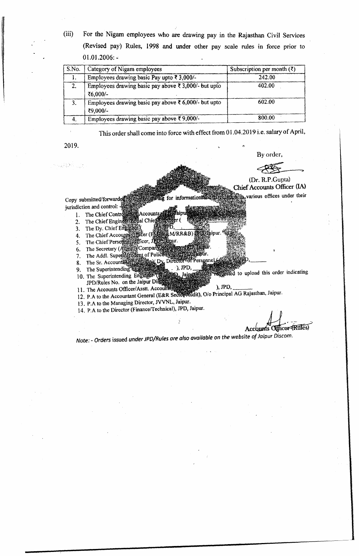(iii) For the Nigam employees who are drawing pay in the Rajasthan Civil Services (Revised pay) Rules, 1998 and Wider other pay scale rules in force prior to  $01.01.2006: -$ 

| S.No. | Category of Nigam employees                                                | Subscription per month $(\xi)$ |
|-------|----------------------------------------------------------------------------|--------------------------------|
|       | Employees drawing basic Pay upto $\bar{\epsilon}$ 3,000/-                  | 242.00                         |
| 2.    | Employees drawing basic pay above $\bar{\xi}$ 3,000/- but upto<br>₹6,000/- | 402.00                         |
| 3.    | Employees drawing basic pay above ₹ 6,000/- but upto<br>₹9,000/-           | 602.00                         |
|       | Employees drawing basic pay above $\overline{\xi}$ 9,000/-                 | 800.00                         |

This order shall come into force with effect from 01.04.2019 i.e. salary of April,

2019.

By order,

 $(Dr. R.P.Gupta)$ Chief Accounts Officer (IA)

**from in** various offices under their illewing for information and the Copy submitted/forward jurisdiction and control: -

D

- **REAccounts** 1. The Chief Controller
- 2. The Chief Engineer **Hal Chieg**
- 3. The Dy. Chief Engine
- Officer (F) &M/RR&B) D. Jaipur. 4. The Chief Accounts
- 5. The Chief Personig Officer, Jepse Bipur.
- 6.
- 7.
- 8. The Sr.
- 9. The Superintending  $\mathbb{R}$ 1O. The Superintending JPD/Rules No. on the Jaipur **the upload this order indicating**
- 11. The Accounts Officer/Asstt. Accounts of ), JPD,
- 11. The Accounts Universities of the Account of the Account of the Section Adjustment of Accountant General (E&R Sector Audit), O/o Principal AG Rajasthan, Jaipur
- 13. P.A to the Managing Director, NVNL, Jalpur.
- 14. P.A to the Director (Finance/Technical), JPD, Jaipur.

Accounts Officer (Rules)

*Note: \_Orders* issued *under JPD/Rules are also available on the website of Jaipur Discom.*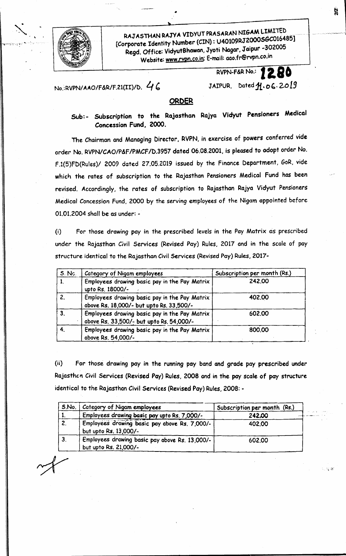

· .

RAJ ASTHAN RAJYA VIDYUT PRASARAN NIGAM LIMITED [Corporate Identity Number (CIN): U40109RJ2000SGC016485] Regd. Office: VidyutBhawan, Jyoti Nagar, Jaipur -302005 Website: [www.rvpn.co.in;](http://www.rvpn.co.in;) E-mail: [aoo.fr@rvpn.co.1n](mailto:aoo.fr@rvpn.co.1n)

RVPN-F&RNo.: **Il 80**

# $N_0$ :RVPN/AAO/F&R/F.21(II)/D.  $46$  JAIPUR, Dated  $A.06.2019$

#### **ORDER**

Sub: - Subscription to the Rajasthan Rojya Vidyut Pensioners Medical Concession Fund, 2000.

The Chairman and Managing Director, RVPN, in exercise of powers conferred vide order No. RVPN/CAO/P&F/PMCF/D.3957 dated 06.08.2001, is pleased to adopt order No. F.1(5)FD(Rules)1 2009 dated 27.05.2019 issued by the Finance Department, GoR, vide which the rates of subscription to the Rajasthan Pensioners Medical Fund has been revised. Accordingly, the rates of subscription to Rajasthan Rajya Vidyut Pensioners Medical Concession Fund, 2000 by the serving employees of the Nigam appointed before 01.01.2004 shall be as under: -

(i) For those drawing pay in the prescribed levels in the Pay Matrix as prescribed under the Rajasthan Civil Services (Revised Pay) Rules, 2017 and in the scale of pay structure identical to the Rajasthan Civil Services (Revised Pay) Rules, 2017-

| $S.$ No.     | Category of Nigam employees                                                               | Subscription per month (Rs.) |
|--------------|-------------------------------------------------------------------------------------------|------------------------------|
| $\mathbf{1}$ | Employees drawing basic pay in the Pay Matrix<br>upto Rs. 18000/-                         | 242.00                       |
| 2.           | Employees drawing basic pay in the Pay Matrix<br>above Rs. 18,000/- but upto Rs. 33,500/- | 402.00                       |
| 3.           | Employees drawing basic pay in the Pay Matrix<br>above Rs. 33,500/- but upto Rs. 54,000/- | 602.00                       |
|              | Employees drawing basic pay in the Pay Matrix<br>above Rs. 54,000/-                       | 800.00                       |

(ii) For those drawing pay in the running pay band and grade pay prescribed under Rajasthen Civil Services (Revised Pay) Rules, 2008 and in the pay scale of pay structure identical to the Rajasthan Civil Services (Revised Pay) Rules, 2008: -

| S.No. | Category of Nigam employees                                             | Subscription per month (Rs.) |
|-------|-------------------------------------------------------------------------|------------------------------|
|       | Employees drawing basic pay upto Rs. 7,000/-                            | 242,00                       |
| 2.    | Employees drawing basic pay above Rs. 7,000/-<br>but upto Rs. 13,000/-  | 402.00                       |
| 3.    | Employees drawing basic pay above Rs. 13,000/-<br>but upto Rs. 21,000/- | 602.00                       |

*.f>"*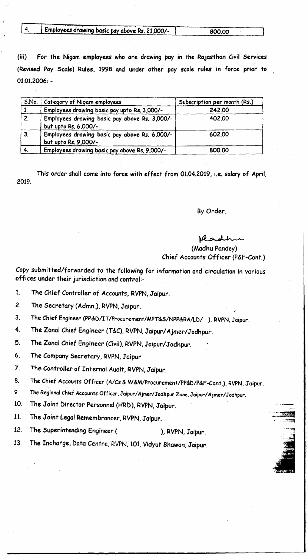|  | $\blacktriangleright$ Employees drawing basic pay above Rs. 21,000/- | 800,00 |
|--|----------------------------------------------------------------------|--------|
|  |                                                                      |        |

(iii) For the Nigam employees who are drawing pay in the Rajasthan *Civil* Services (Revised Pay Scale) Rules, 1998 and under other pay scale rules in force prior to 01.01.2006: -

| S.No.          | Category of Nigam employees                                           | Subscription per month (Rs.) |
|----------------|-----------------------------------------------------------------------|------------------------------|
| $\mathbf{1}$   | Employees drawing basic pay upto Rs. 3,000/-                          | 242.00                       |
| 2.             | Employees drawing basic pay above Rs. 3,000/-<br>but upto Rs. 6,000/- | 402.00                       |
| 3 <sub>r</sub> | Employees drawing basic pay above Rs. 6,000/-<br>but upto Rs. 9,000/- | 602.00                       |
|                | Employees drawing basic pay above Rs. 9,000/-                         | 800.00                       |

This order shall come into force with effect from 01.04.2019, i.e. salary of April, 2019.

By Order,

### readh

 $-$ 

(Madhu Pandey) Chief Accounts Officer (P&f-Cont.)

Copy submitted/forwarded to the following for information and circulation in various offices under their jurisdiction and control:-

- 1. The Chief Controller of Accounts, RVPN,Jaipur.
- 2. The Secretary (Admn.), RVPN,Jaipur.
- 3. The Chief Engineer *(PP&D/IT/Procurement/MPT&S/NPP&RA/LDI ),* RVPN,Jaipur.
- 4. The Zonal Chief Engineer (T&C), RVPN, Jaipur/Ajmer/Jodhpur.
- 5. The Zonal Chief Engineer (Civil), RVPN, Jaipur/Jodhpur.
- 6. The Company Secretary, RVPN,Jaipur
- 7. The Controller of Internal Audit, RVPN, Jaipur.
- 8. The Chief Accounts Officer *(A/Cs* & *W&M/Procurement/PP&D/P&F-Cont.),* RVPN,Jaipur.
- 9. The Regional Chief Accounts Officer, Jaipur/Ajmer/Jodhpur Zone. Jaipur/Ajmer/Jodhpur.
- 10. The Joint Director Personnel (HRD), RVPN, Jaipur.
- 11. The Joint Legal Remembrancer, RVPN, Jaipur.
- 12. The Superintending Engineer ( ), RVPN, Jaipur.
- 13. The *Incharge,* Data Centre, RVPN, 101, Vidyut Bhawan, Jaipur.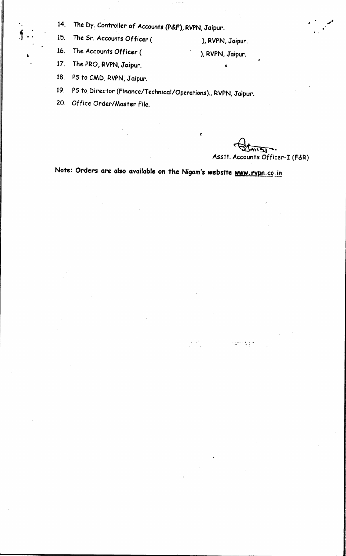14. The Dy. Controller of Accounts (P&F), RVPN, Jaipur.

i,  $\begin{array}{ccc} & & 14. \\ \text{\AA} & \cdot & \cdot \\ \text{\AA} & \cdot & \cdot \\ \end{array}$ The Sr. Accounts Officer ( ), RVPN, Jaipur.

16. The Accounts Officer (

c;

•

- ), RVPN, Jaipur.
- 17. The PRO, RVPN, Jaipur.
- 18. PS to CMD, RVPN, Jaipur.
- 19. PS to Director (Finance/Technical/Operations)., RVPN, Jolpur.
- 20. Office Order/Master File.

~~ Asstt. Accounts Officer~I (F&R)

. ,

Note: Orders are also available on the Nigam's website [www.rvpn.co.in](http://www.rvpn.co.in)

*c*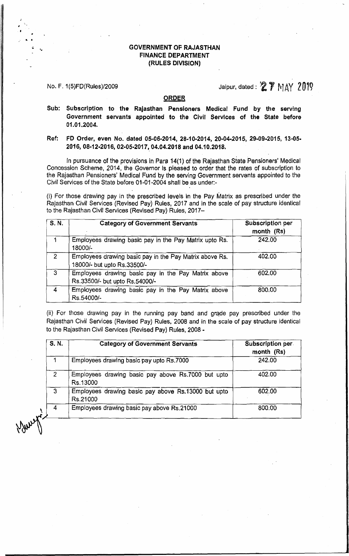#### GOVERNMENT OF RAJASTHAN FINANCE DEPARTMENT (RULES DIVIS[ON)

L •

## No. F. 1(5)FD(Rules)/2009  $\blacksquare$  Jaipur, dated:  $\clubsuit$   $\clubsuit$   $\uparrow$   $\uparrow$   $\uparrow$   $\uparrow$   $\uparrow$   $\uparrow$   $\uparrow$   $\uparrow$   $\uparrow$   $\uparrow$   $\uparrow$   $\uparrow$   $\uparrow$   $\uparrow$   $\uparrow$   $\uparrow$   $\uparrow$   $\uparrow$   $\uparrow$   $\uparrow$   $\uparrow$   $\uparrow$   $\uparrow$   $\uparrow$   $\uparrow$   $\uparrow$   $\uparrow$

#### ORDER

- Sub: Subscription to the Rajasthan Pensioners Medical Fund by the serving Government servants appointed to the Civil Services of the State before 01.01.2004.
- Ref: FD Order, even No. dated 05-06-2014, 28-10-2014, 20-04-2015, 29-09-2015, 13-05· 2016,08-12·2016,02-05-2017,04.04.2018 and 04.10,2018.

In pursuance of the provisions in Para 14(1) of the Rajasthan State Pensioners' Medical Concession Scheme, 2014, the Governor Is pleased to order that the rates of subscription to the Rajasthan Pensioners' Medical Fund by the serving Government servants appointed to the Civil Services of the State before 01·01-2004 shall be as under:-

(i) For those drawing pay in the prescribed levels in the Pay Matrix as prescribed under the Rajasthan Civil Services (Revised Pay) Rules, 2017 and in the scale of pay structure identical to the Rajasthan Civil Services (Revised Pay) Rules, 2017-

| S. N.          | <b>Category of Government Servants</b>                                                 | Subscription per<br>month (Rs) |
|----------------|----------------------------------------------------------------------------------------|--------------------------------|
|                | Employees drawing basic pay in the Pay Matrix upto Rs.<br>18000/-                      | 242.00                         |
| $\overline{2}$ | Employees drawing basic pay in the Pay Matrix above Rs.<br>18000/- but upto Rs.33500/- | 402.00                         |
| -3             | Employees drawing basic pay in the Pay Matrix above<br>Rs.33500/- but upto Rs.54000/-  | 602.00                         |
| 4              | Employees drawing basic pay in the Pay Matrix above<br>Rs.54000/-                      | 800.00                         |

(ii) For those drawing pay in the running pay band and grade pay prescribed under the Rajasthan Civil Services (Revised Pay) Rules, 2008 and in the scale of pay structure identical to the Rajasthan Civil Services (Revised Pay) Rules, 2008 -

| S. N. | <b>Category of Government Servants</b>                                    | Subscription per<br>month (Rs) |
|-------|---------------------------------------------------------------------------|--------------------------------|
|       | Employees drawing basic pay upto Rs.7000                                  | 242.00                         |
| 2     | Employees drawing basic pay above Rs.7000 but upto<br>Rs.13000            | 402.00                         |
| 3     | 602.00<br>Employees drawing basic pay above Rs.13000 but upto<br>Rs.21000 |                                |
| 4     | Employees drawing basic pay above Rs.21000                                | 800.00                         |